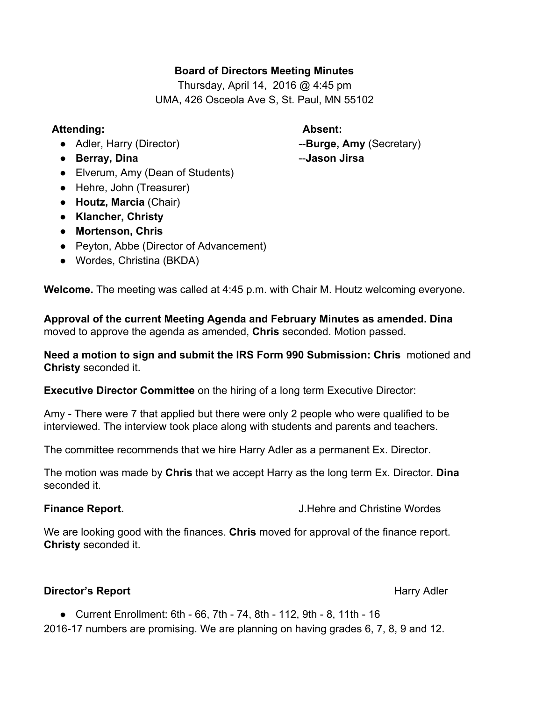### **Board of Directors Meeting Minutes**

Thursday, April 14, 2016 @ 4:45 pm UMA, 426 Osceola Ave S, St. Paul, MN 55102

### **Attending: Absent:**

- Adler, Harry (Director) **Burge, Amy** (Secretary)
- **Berray, Dina Jason Jirsa**
- Elverum, Amy (Dean of Students)
- Hehre, John (Treasurer)
- **Houtz, Marcia**(Chair)
- **● Klancher, Christy**
- **● Mortenson, Chris**
- Peyton, Abbe (Director of Advancement)
- **●** Wordes, Christina (BKDA)

**Welcome.**The meeting was called at 4:45 p.m. with Chair M. Houtz welcoming everyone.

**Approval of the current Meeting Agenda and February Minutes as amended. Dina** moved to approve the agenda as amended, **Chris**seconded. Motion passed.

**Need a motion to sign and submit the IRS Form 990 Submission: Chris** motioned and **Christy**seconded it.

**Executive Director Committee** on the hiring of a long term Executive Director:

Amy - There were 7 that applied but there were only 2 people who were qualified to be interviewed. The interview took place along with students and parents and teachers.

The committee recommends that we hire Harry Adler as a permanent Ex. Director.

The motion was made by **Chris**that we accept Harry as the long term Ex. Director. **Dina** seconded it.

**Finance Report.** The **Report** Service Service Service Service Service Service Service Service Service Service Service Service Service Service Service Service Service Service Service Service Service Service Service Service

We are looking good with the finances. **Chris** moved for approval of the finance report. **Christy**seconded it.

# **Director's Report Harry Adler Harry Adler Harry Adler Harry Adler**

• Current Enrollment: 6th - 66, 7th - 74, 8th - 112, 9th - 8, 11th - 16

2016-17 numbers are promising. We are planning on having grades 6, 7, 8, 9 and 12.